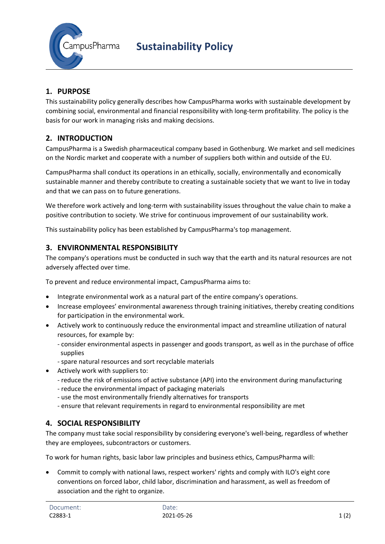

# **1. PURPOSE**

This sustainability policy generally describes how CampusPharma works with sustainable development by combining social, environmental and financial responsibility with long-term profitability. The policy is the basis for our work in managing risks and making decisions.

## **2. INTRODUCTION**

CampusPharma is a Swedish pharmaceutical company based in Gothenburg. We market and sell medicines on the Nordic market and cooperate with a number of suppliers both within and outside of the EU.

CampusPharma shall conduct its operations in an ethically, socially, environmentally and economically sustainable manner and thereby contribute to creating a sustainable society that we want to live in today and that we can pass on to future generations.

We therefore work actively and long-term with sustainability issues throughout the value chain to make a positive contribution to society. We strive for continuous improvement of our sustainability work.

This sustainability policy has been established by CampusPharma's top management.

### **3. ENVIRONMENTAL RESPONSIBILITY**

The company's operations must be conducted in such way that the earth and its natural resources are not adversely affected over time.

To prevent and reduce environmental impact, CampusPharma aims to:

- Integrate environmental work as a natural part of the entire company's operations.
- Increase employees' environmental awareness through training initiatives, thereby creating conditions for participation in the environmental work.
- Actively work to continuously reduce the environmental impact and streamline utilization of natural resources, for example by:
	- consider environmental aspects in passenger and goods transport, as well as in the purchase of office supplies
	- spare natural resources and sort recyclable materials
- Actively work with suppliers to:
	- reduce the risk of emissions of active substance (API) into the environment during manufacturing
	- reduce the environmental impact of packaging materials
	- use the most environmentally friendly alternatives for transports
	- ensure that relevant requirements in regard to environmental responsibility are met

### **4. SOCIAL RESPONSIBILITY**

The company must take social responsibility by considering everyone's well-being, regardless of whether they are employees, subcontractors or customers.

To work for human rights, basic labor law principles and business ethics, CampusPharma will:

 Commit to comply with national laws, respect workers' rights and comply with ILO's eight core conventions on forced labor, child labor, discrimination and harassment, as well as freedom of association and the right to organize.